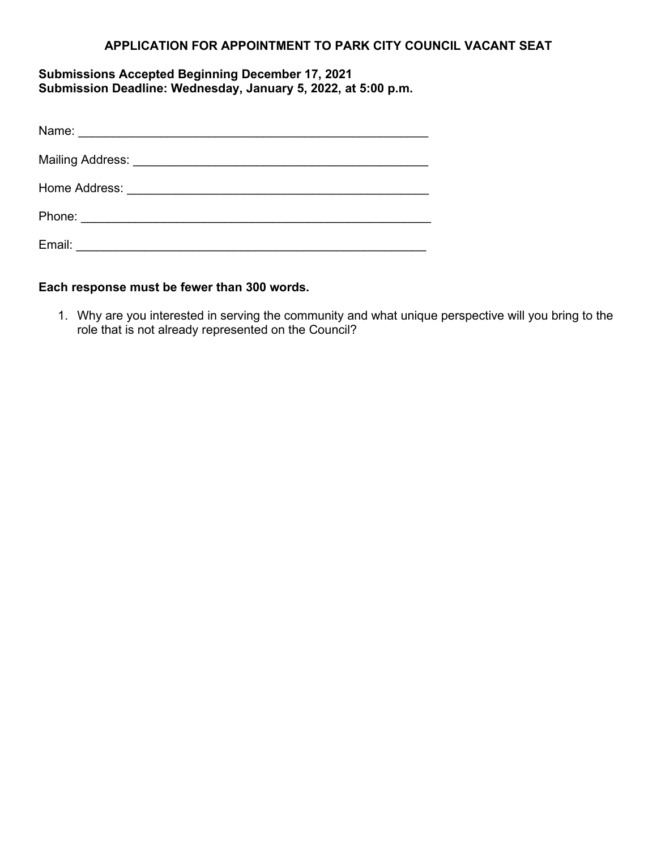## **APPLICATION FOR APPOINTMENT TO PARK CITY COUNCIL VACANT SEAT**

## **Submissions Accepted Beginning December 17, 2021 Submission Deadline: Wednesday, January 5, 2022, at 5:00 p.m.**

| Email: |  |
|--------|--|

## **Each response must be fewer than 300 words.**

1. Why are you interested in serving the community and what unique perspective will you bring to the role that is not already represented on the Council?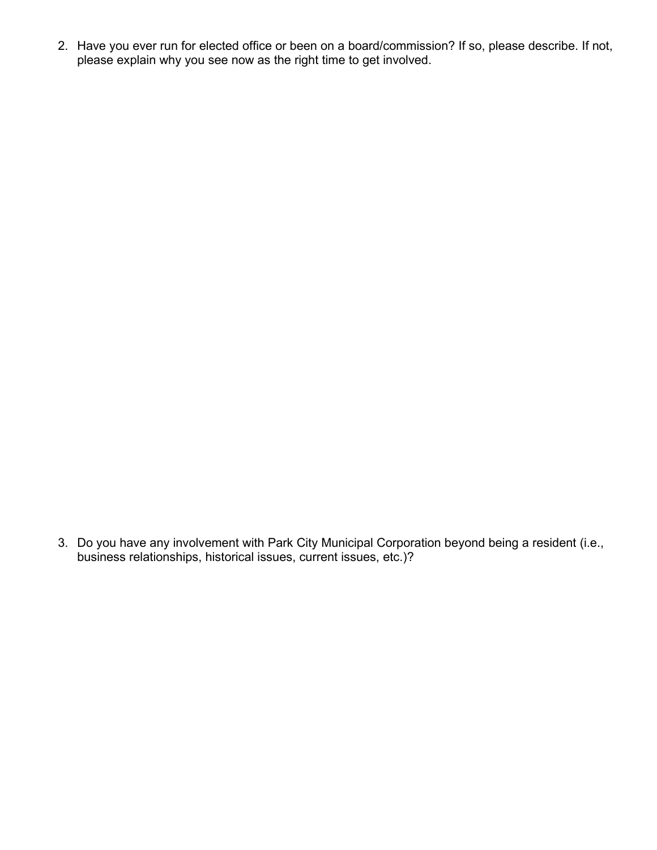2. Have you ever run for elected office or been on a board/commission? If so, please describe. If not, please explain why you see now as the right time to get involved.

3. Do you have any involvement with Park City Municipal Corporation beyond being a resident (i.e., business relationships, historical issues, current issues, etc.)?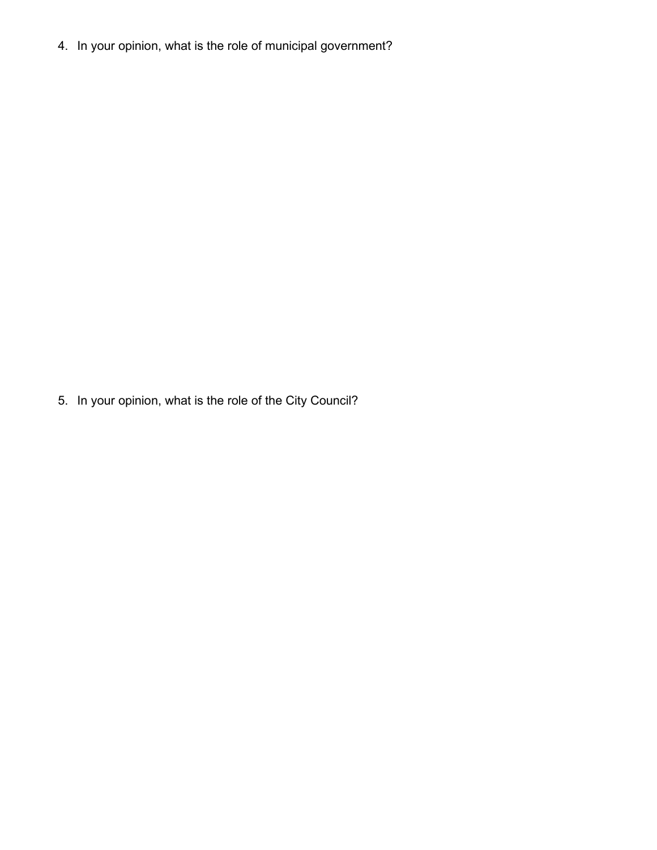4. In your opinion, what is the role of municipal government?

5. In your opinion, what is the role of the City Council?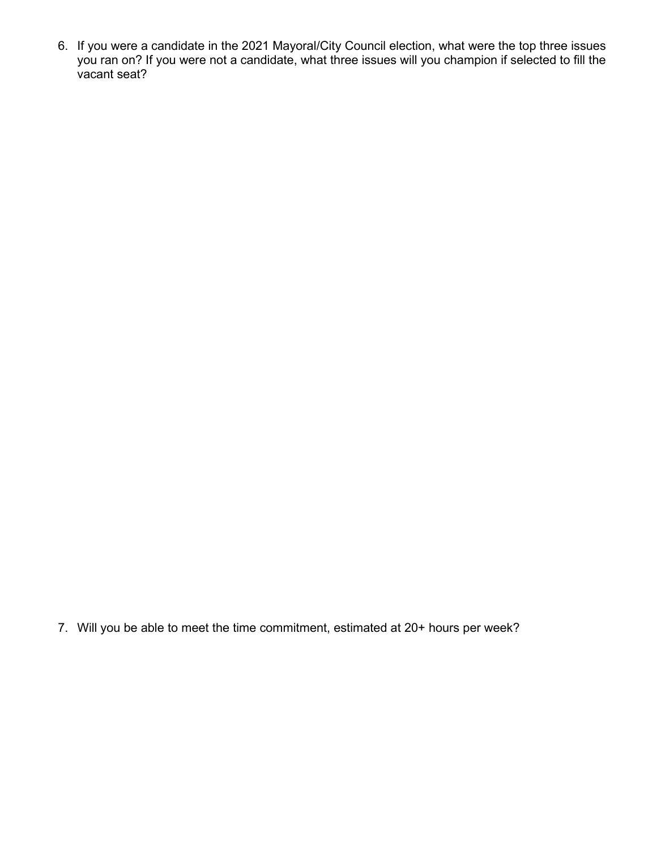6. If you were a candidate in the 2021 Mayoral/City Council election, what were the top three issues you ran on? If you were not a candidate, what three issues will you champion if selected to fill the vacant seat?

7. Will you be able to meet the time commitment, estimated at 20+ hours per week?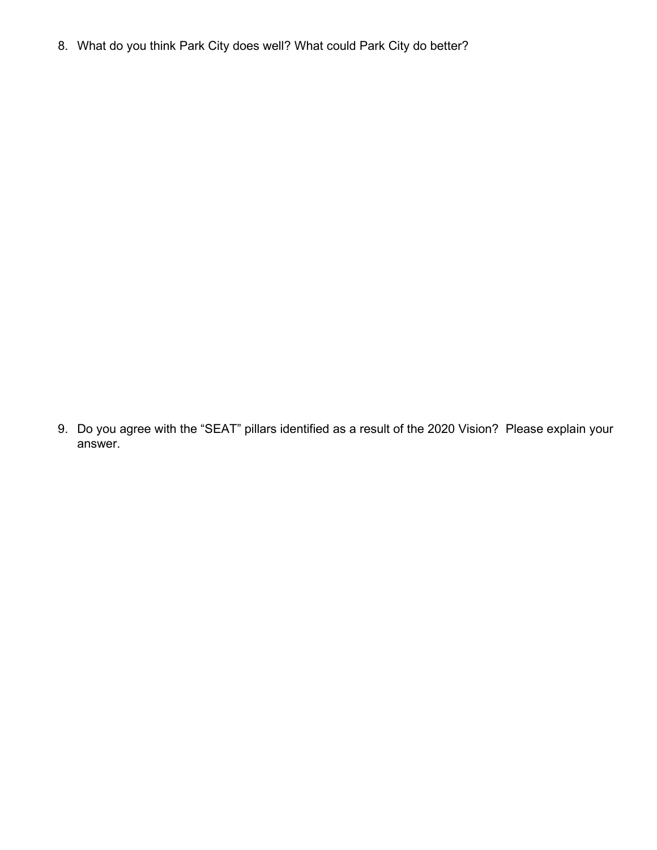8. What do you think Park City does well? What could Park City do better?

9. Do you agree with the "SEAT" pillars identified as a result of the 2020 Vision? Please explain your answer.